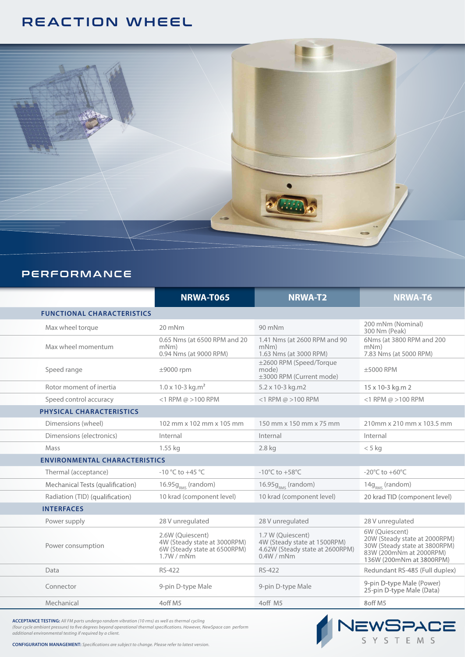# REACTION WHEEL



### PERFORMANCE

|                                      | <b>NRWA-T065</b>                                                                             | <b>NRWA-T2</b>                                                                                   | <b>NRWA-T6</b>                                                                                                                          |
|--------------------------------------|----------------------------------------------------------------------------------------------|--------------------------------------------------------------------------------------------------|-----------------------------------------------------------------------------------------------------------------------------------------|
| <b>FUNCTIONAL CHARACTERISTICS</b>    |                                                                                              |                                                                                                  |                                                                                                                                         |
| Max wheel torque                     | 20 mNm                                                                                       | 90 mNm                                                                                           | 200 mNm (Nominal)<br>300 Nm (Peak)                                                                                                      |
| Max wheel momentum                   | 0.65 Nms (at 6500 RPM and 20<br>$mNm$ )<br>0.94 Nms (at 9000 RPM)                            | 1.41 Nms (at 2600 RPM and 90<br>mNm)<br>1.63 Nms (at 3000 RPM)                                   | 6Nms (at 3800 RPM and 200<br>mNm)<br>7.83 Nms (at 5000 RPM)                                                                             |
| Speed range                          | $±9000$ rpm                                                                                  | ±2600 RPM (Speed/Torque<br>mode)<br>±3000 RPM (Current mode)                                     | ±5000 RPM                                                                                                                               |
| Rotor moment of inertia              | $1.0 \times 10 - 3$ kg.m <sup>2</sup>                                                        | 5.2 x 10-3 kg.m2                                                                                 | 15 x 10-3 kg.m 2                                                                                                                        |
| Speed control accuracy               | $<$ 1 RPM @ > 100 RPM                                                                        | <1 RPM $\omega$ >100 RPM                                                                         | $<$ 1 RPM @ > 100 RPM                                                                                                                   |
| PHYSICAL CHARACTERISTICS             |                                                                                              |                                                                                                  |                                                                                                                                         |
| Dimensions (wheel)                   | 102 mm x 102 mm x 105 mm                                                                     | 150 mm x 150 mm x 75 mm                                                                          | 210mm x 210 mm x 103.5 mm                                                                                                               |
| Dimensions (electronics)             | Internal                                                                                     | Internal                                                                                         | Internal                                                                                                                                |
| Mass                                 | 1.55 kg                                                                                      | 2.8 kg                                                                                           | $< 5$ kg                                                                                                                                |
| <b>ENVIRONMENTAL CHARACTERISTICS</b> |                                                                                              |                                                                                                  |                                                                                                                                         |
| Thermal (acceptance)                 | $-10 °C$ to $+45 °C$                                                                         | -10 $^{\circ}$ C to +58 $^{\circ}$ C                                                             | -20 $\degree$ C to +60 $\degree$ C                                                                                                      |
| Mechanical Tests (qualification)     | $16.95gRMS$ (random)                                                                         | $16.95gRMS$ (random)                                                                             | $14g_{RMS}$ (random)                                                                                                                    |
| Radiation (TID) (qualification)      | 10 krad (component level)                                                                    | 10 krad (component level)                                                                        | 20 krad TID (component level)                                                                                                           |
| <b>INTERFACES</b>                    |                                                                                              |                                                                                                  |                                                                                                                                         |
| Power supply                         | 28 V unregulated                                                                             | 28 V unregulated                                                                                 | 28 V unregulated                                                                                                                        |
| Power consumption                    | 2.6W (Quiescent)<br>4W (Steady state at 3000RPM)<br>6W (Steady state at 6500RPM)<br>1.7W/mNm | 1.7 W (Quiescent)<br>4W (Steady state at 1500RPM)<br>4.62W (Steady state at 2600RPM)<br>0.4W/mNm | 6W (Ouiescent)<br>20W (Steady state at 2000RPM)<br>30W (Steady state at 3800RPM)<br>83W (200mNm at 2000RPM)<br>136W (200mNm at 3800RPM) |
| Data                                 | RS-422                                                                                       | RS-422                                                                                           | Redundant RS-485 (Full duplex)                                                                                                          |
| Connector                            | 9-pin D-type Male                                                                            | 9-pin D-type Male                                                                                | 9-pin D-type Male (Power)<br>25-pin D-type Male (Data)                                                                                  |
| Mechanical                           | 4off M5                                                                                      | 4off M5                                                                                          | 8off M5                                                                                                                                 |

NEWSPACE

**ACCEPTANCE TESTING:** *All FM parts undergo random vibration (10 rms) as well as thermal cycling (four cycle ambiant pressure) to five degrees beyond operational thermal specifications. However, NewSpace can perform additional environmental testing if required by a client.* 

**CONFIGURATION MANAGEMENT:** *Specifications are subject to change. Please refer to latest version.*